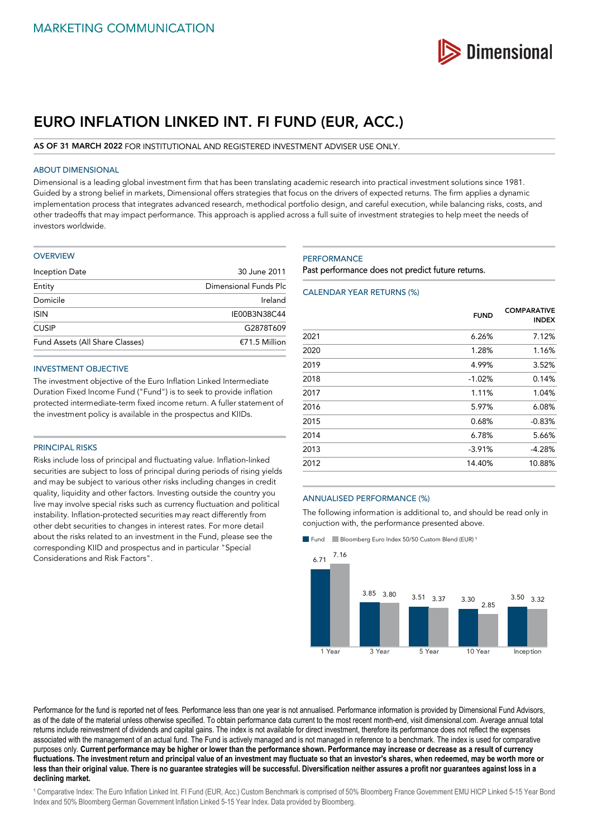

# **EURO INFLATION LINKED INT. FI FUND (EUR, ACC.)**

## **AS OF 31 MARCH 2022** FOR INSTITUTIONAL AND REGISTERED INVESTMENT ADVISER USE ONLY.

## ABOUT DIMENSIONAL

Dimensional is a leading global investment firm that has been translating academic research into practical investment solutions since 1981. Guided by a strong belief in markets, Dimensional offers strategies that focus on the drivers of expected returns. The firm applies a dynamic implementation process that integrates advanced research, methodical portfolio design, and careful execution, while balancing risks, costs, and other tradeoffs that may impact performance. This approach is applied across a full suite of investment strategies to help meet the needs of investors worldwide.

| OVERVIEW |  |  |  |  |  |
|----------|--|--|--|--|--|
|----------|--|--|--|--|--|

| 30 June 2011          |  |
|-----------------------|--|
| Dimensional Funds Plc |  |
| Ireland               |  |
| IE00B3N38C44          |  |
| G2878T609             |  |
| $£71.5$ Million       |  |
|                       |  |

## INVESTMENT OBJECTIVE

The investment objective of the Euro Inflation Linked Intermediate Duration Fixed Income Fund ("Fund") is to seek to provide inflation protected intermediate-term fixed income return. A fuller statement of the investment policy is available in the prospectus and KIIDs.

#### PRINCIPAL RISKS

Risks include loss of principal and fluctuating value. Inflation-linked securities are subject to loss of principal during periods of rising yields and may be subject to various other risks including changes in credit quality, liquidity and other factors. Investing outside the country you live may involve special risks such as currency fluctuation and political instability. Inflation-protected securities may react differently from other debt securities to changes in interest rates. For more detail about the risks related to an investment in the Fund, please see the corresponding KIID and prospectus and in particular "Special Considerations and Risk Factors".

## **PERFORMANCE**

Past performance does not predict future returns.

## CALENDAR YEAR RETURNS (%)

|      | <b>FUND</b> | <b>COMPARATIVE</b><br><b>INDEX</b> |
|------|-------------|------------------------------------|
| 2021 | 6.26%       | 7.12%                              |
| 2020 | 1.28%       | 1.16%                              |
| 2019 | 4.99%       | 3.52%                              |
| 2018 | $-1.02%$    | 0.14%                              |
| 2017 | 1.11%       | 1.04%                              |
| 2016 | 5.97%       | 6.08%                              |
| 2015 | 0.68%       | $-0.83%$                           |
| 2014 | 6.78%       | 5.66%                              |
| 2013 | $-3.91%$    | $-4.28%$                           |
| 2012 | 14.40%      | 10.88%                             |

#### ANNUALISED PERFORMANCE (%)

The following information is additional to, and should be read only in conjuction with, the performance presented above.

Fund Bloomberg Euro Index 50/50 Custom Blend (EUR)<sup>1</sup>



Performance for the fund is reported net of fees. Performance less than one year is not annualised. Performance information is provided by Dimensional Fund Advisors, as of the date of the material unless otherwise specified. To obtain performance data current to the most recent month-end, visit dimensional.com. Average annual total returns include reinvestment of dividends and capital gains. The index is not available for direct investment, therefore its performance does not reflect the expenses associated with the management of an actual fund. The Fund is actively managed and is not managed in reference to a benchmark. The index is used for comparative purposes only. **Current performance may be higher or lower than the performance shown. Performance may increase or decrease as a result of currency fluctuations. The investment return and principal value of an investment may fluctuate so that an investor's shares, when redeemed, may be worth more or less than their original value. There is no guarantee strategies will be successful. Diversification neither assures a profit nor guarantees against loss in a declining market.**

<sup>1</sup> Comparative Index: The Euro Inflation Linked Int. FI Fund (EUR, Acc.) Custom Benchmark is comprised of 50% Bloomberg France Government EMU HICP Linked 5-15 Year Bond Index and 50% Bloomberg German Government Inflation Linked 5-15 Year Index. Data provided by Bloomberg.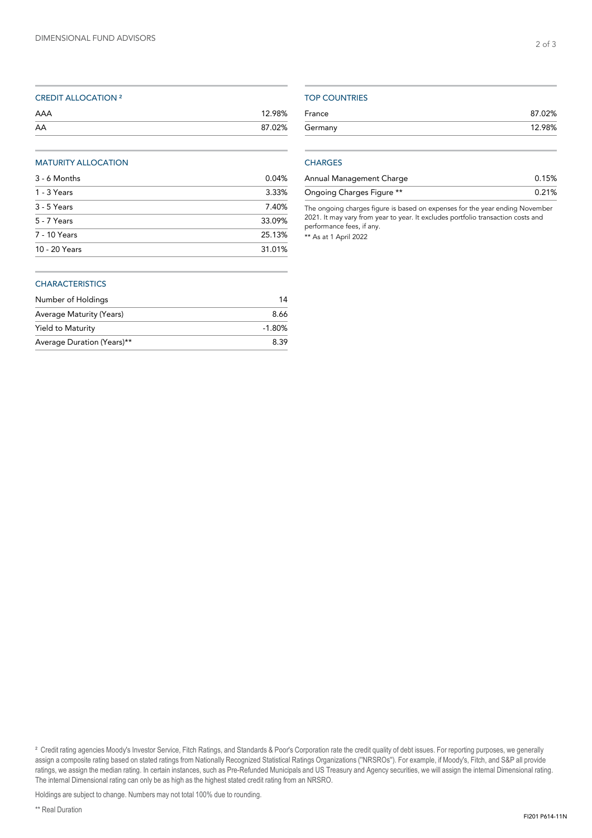| AAA | 12.98% |
|-----|--------|
| AA  | 87.02% |

# MATURITY ALLOCATION

| 3 - 6 Months  | 0.04%  |
|---------------|--------|
| 1 - 3 Years   | 3.33%  |
| 3 - 5 Years   | 7.40%  |
| 5 - 7 Years   | 33.09% |
| 7 - 10 Years  | 25.13% |
| 10 - 20 Years | 31.01% |

## **CHARACTERISTICS**

| Number of Holdings         | 14       |
|----------------------------|----------|
| Average Maturity (Years)   | 8.66     |
| Yield to Maturity          | $-1.80%$ |
| Average Duration (Years)** | 8.39     |

# TOP COUNTRIES

| France  | 87.02% |
|---------|--------|
| Germany | 12.98% |
|         |        |

## **CHARGES**

| Annual Management Charge  | 0.15%    |
|---------------------------|----------|
| Ongoing Charges Figure ** | $0.21\%$ |

The ongoing charges figure is based on expenses for the year ending November 2021. It may vary from year to year. It excludes portfolio transaction costs and performance fees, if any.

\*\* As at 1 April 2022

<sup>2</sup> Credit rating agencies Moody's Investor Service, Fitch Ratings, and Standards & Poor's Corporation rate the credit quality of debt issues. For reporting purposes, we generally assign a composite rating based on stated ratings from Nationally Recognized Statistical Ratings Organizations (''NRSROs''). For example, if Moody's, Fitch, and S&P all provide ratings, we assign the median rating. In certain instances, such as Pre-Refunded Municipals and US Treasury and Agency securities, we will assign the internal Dimensional rating. The internal Dimensional rating can only be as high as the highest stated credit rating from an NRSRO.

Holdings are subject to change. Numbers may not total 100% due to rounding.